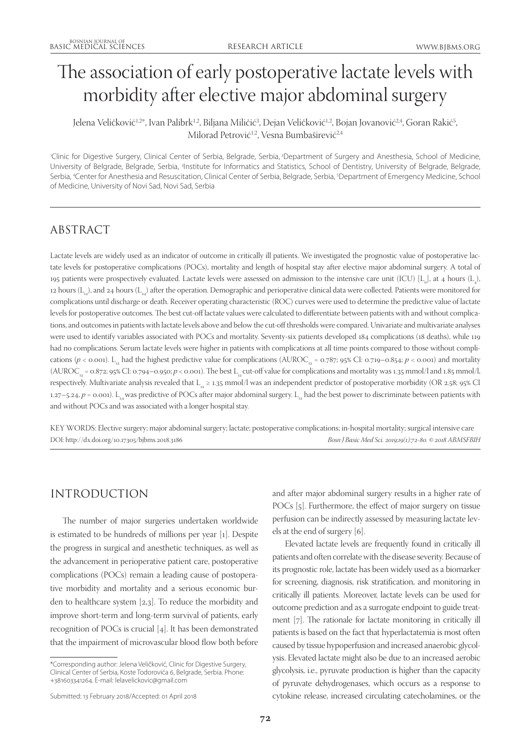# The association of early postoperative lactate levels with morbidity after elective major abdominal surgery

Jelena Veličković½\*, Ivan Palibrk½, Biljana Miličić<sup>3</sup>, Dejan Veličković½, Bojan Jovanović¼, Goran Rakić<sup>5</sup>, Milorad Petrović<sup>1,2</sup>, Vesna Bumbaširević<sup>2,4</sup>

1 Clinic for Digestive Surgery, Clinical Center of Serbia, Belgrade, Serbia, 2Department of Surgery and Anesthesia, School of Medicine, University of Belgrade, Belgrade, Serbia, <sup>3</sup>Institute for Informatics and Statistics, School of Dentistry, University of Belgrade, Belgrade, Serbia, <sup>4</sup>Center for Anesthesia and Resuscitation, Clinical Center of Serbia, Belgrade, Serbia, <sup>5</sup>Department of Emergency Medicine, School of Medicine, University of Novi Sad, Novi Sad, Serbia

# ABSTRACT

Lactate levels are widely used as an indicator of outcome in critically ill patients. We investigated the prognostic value of postoperative lactate levels for postoperative complications (POCs), mortality and length of hospital stay after elective major abdominal surgery. A total of 195 patients were prospectively evaluated. Lactate levels were assessed on admission to the intensive care unit (ICU) [L<sub>0</sub>], at 4 hours (L<sub>4</sub>), 12 hours  $(L_{12})$ , and 24 hours  $(L_{24})$  after the operation. Demographic and perioperative clinical data were collected. Patients were monitored for complications until discharge or death. Receiver operating characteristic (ROC) curves were used to determine the predictive value of lactate levels for postoperative outcomes. The best cut-off lactate values were calculated to differentiate between patients with and without complications, and outcomes in patients with lactate levels above and below the cut-off thresholds were compared. Univariate and multivariate analyses were used to identify variables associated with POCs and mortality. Seventy-six patients developed 184 complications (18 deaths), while 119 had no complications. Serum lactate levels were higher in patients with complications at all time points compared to those without complications ( $p <$  0.001). L<sub>12</sub> had the highest predictive value for complications (AUROC<sub>12</sub> = 0.787; 95% CI: 0.719–0.854;  $p <$  0.001) and mortality  $(AUROC<sub>12</sub> = 0.872; 95% CI: 0.794-0.950; p < 0.001)$ . The best L<sub>12</sub> cut-off value for complications and mortality was 1.35 mmol/l and 1.85 mmol/l, respectively. Multivariate analysis revealed that  $L_{12} \ge 1.35$  mmol/l was an independent predictor of postoperative morbidity (OR 2.58; 95% CI 1.27–5.24,  $p = 0.001$ ). L<sub>24</sub> was predictive of POCs after major abdominal surgery. L<sub>12</sub> had the best power to discriminate between patients with and without POCs and was associated with a longer hospital stay.

KEY WORDS: Elective surgery; major abdominal surgery; lactate; postoperative complications; in-hospital mortality; surgical intensive care DOI: http://dx.doi.org/10.17305/bjbms.2018.3186 *Bosn J Basic Med Sci. 2019;19(1):72-80. © 2018 ABMSFBIH*

# INTRODUCTION

The number of major surgeries undertaken worldwide is estimated to be hundreds of millions per year [1]. Despite the progress in surgical and anesthetic techniques, as well as the advancement in perioperative patient care, postoperative complications (POCs) remain a leading cause of postoperative morbidity and mortality and a serious economic burden to healthcare system [2,3]. To reduce the morbidity and improve short-term and long-term survival of patients, early recognition of POCs is crucial [4]. It has been demonstrated that the impairment of microvascular blood flow both before

and after major abdominal surgery results in a higher rate of POCs [5]. Furthermore, the effect of major surgery on tissue perfusion can be indirectly assessed by measuring lactate levels at the end of surgery [6].

Elevated lactate levels are frequently found in critically ill patients and often correlate with the disease severity. Because of its prognostic role, lactate has been widely used as a biomarker for screening, diagnosis, risk stratification, and monitoring in critically ill patients. Moreover, lactate levels can be used for outcome prediction and as a surrogate endpoint to guide treatment [7]. The rationale for lactate monitoring in critically ill patients is based on the fact that hyperlactatemia is most often caused by tissue hypoperfusion and increased anaerobic glycolysis. Elevated lactate might also be due to an increased aerobic glycolysis, i.e., pyruvate production is higher than the capacity of pyruvate dehydrogenases, which occurs as a response to cytokine release, increased circulating catecholamines, or the

<sup>\*</sup>Corresponding author: Jelena Veličković, Clinic for Digestive Surgery, Clinical Center of Serbia, Koste Todorovića 6, Belgrade, Serbia. Phone: +381603341264. E-mail: lelavelickovic@gmail.com

Submitted: 13 February 2018/Accepted: 01 April 2018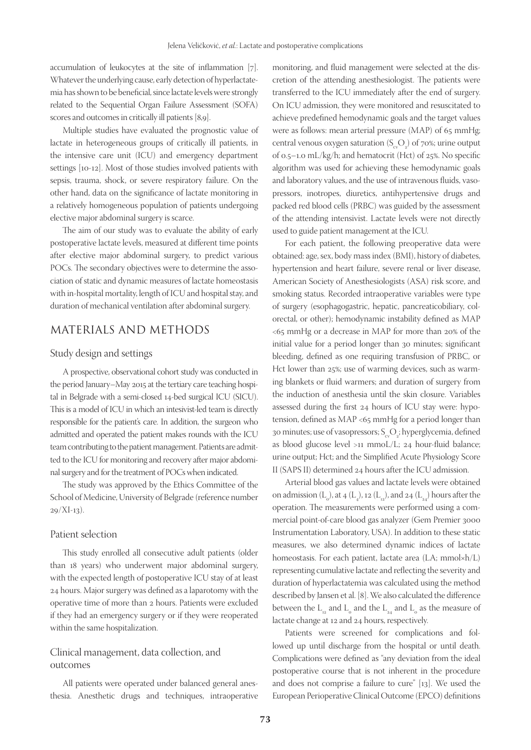accumulation of leukocytes at the site of inflammation [7]. Whatever the underlying cause, early detection of hyperlactatemia has shown to be beneficial, since lactate levels were strongly related to the Sequential Organ Failure Assessment (SOFA) scores and outcomes in critically ill patients [8,9].

Multiple studies have evaluated the prognostic value of lactate in heterogeneous groups of critically ill patients, in the intensive care unit (ICU) and emergency department settings [10-12]. Most of those studies involved patients with sepsis, trauma, shock, or severe respiratory failure. On the other hand, data on the significance of lactate monitoring in a relatively homogeneous population of patients undergoing elective major abdominal surgery is scarce.

The aim of our study was to evaluate the ability of early postoperative lactate levels, measured at different time points after elective major abdominal surgery, to predict various POCs. The secondary objectives were to determine the association of static and dynamic measures of lactate homeostasis with in-hospital mortality, length of ICU and hospital stay, and duration of mechanical ventilation after abdominal surgery.

# MATERIALS AND METHODS

#### Study design and settings

A prospective, observational cohort study was conducted in the period January–May 2015 at the tertiary care teaching hospital in Belgrade with a semi-closed 14-bed surgical ICU (SICU). This is a model of ICU in which an intesivist-led team is directly responsible for the patient's care. In addition, the surgeon who admitted and operated the patient makes rounds with the ICU team contributing to the patient management. Patients are admitted to the ICU for monitoring and recovery after major abdominal surgery and for the treatment of POCs when indicated.

The study was approved by the Ethics Committee of the School of Medicine, University of Belgrade (reference number  $29/XI-13$ ).

#### Patient selection

This study enrolled all consecutive adult patients (older than 18 years) who underwent major abdominal surgery, with the expected length of postoperative ICU stay of at least 24 hours. Major surgery was defined as a laparotomy with the operative time of more than 2 hours. Patients were excluded if they had an emergency surgery or if they were reoperated within the same hospitalization.

## Clinical management, data collection, and outcomes

All patients were operated under balanced general anesthesia. Anesthetic drugs and techniques, intraoperative monitoring, and fluid management were selected at the discretion of the attending anesthesiologist. The patients were transferred to the ICU immediately after the end of surgery. On ICU admission, they were monitored and resuscitated to achieve predefined hemodynamic goals and the target values were as follows: mean arterial pressure (MAP) of 65 mmHg; central venous oxygen saturation  $(S_{\rm cv}O_2)$  of 70%; urine output of 0.5–1.0 mL/kg/h; and hematocrit (Hct) of 25%. No specific algorithm was used for achieving these hemodynamic goals and laboratory values, and the use of intravenous fluids, vasopressors, inotropes, diuretics, antihypertensive drugs and packed red blood cells (PRBC) was guided by the assessment of the attending intensivist. Lactate levels were not directly used to guide patient management at the ICU.

For each patient, the following preoperative data were obtained: age, sex, body mass index (BMI), history of diabetes, hypertension and heart failure, severe renal or liver disease, American Society of Anesthesiologists (ASA) risk score, and smoking status. Recorded intraoperative variables were type of surgery (esophagogastric, hepatic, pancreaticobiliary, colorectal, or other); hemodynamic instability defined as MAP <65 mmHg or a decrease in MAP for more than 20% of the initial value for a period longer than 30 minutes; significant bleeding, defined as one requiring transfusion of PRBC, or Hct lower than 25%; use of warming devices, such as warming blankets or fluid warmers; and duration of surgery from the induction of anesthesia until the skin closure. Variables assessed during the first 24 hours of ICU stay were: hypotension, defined as MAP <65 mmHg for a period longer than 30 minutes; use of vasopressors;  $S_{\rm cv}O_{\rm 2}$ ; hyperglycemia, defined as blood glucose level >11 mmoL/L; 24 hour-fluid balance; urine output; Hct; and the Simplified Acute Physiology Score II (SAPS II) determined 24 hours after the ICU admission.

Arterial blood gas values and lactate levels were obtained on admission  $(L_0)$ , at 4  $(L_4)$ , 12  $(L_{12})$ , and 24  $(L_{24})$  hours after the operation. The measurements were performed using a commercial point-of-care blood gas analyzer (Gem Premier 3000 Instrumentation Laboratory, USA). In addition to these static measures, we also determined dynamic indices of lactate homeostasis. For each patient, lactate area (LA; mmol×h/L) representing cumulative lactate and reflecting the severity and duration of hyperlactatemia was calculated using the method described by Jansen et al. [8]. We also calculated the difference between the  $L_{12}^{\parallel}$  and  $L_{0}^{\parallel}$  and the  $L_{24}^{\parallel}$  and  $L_{0}^{\parallel}$  as the measure of lactate change at 12 and 24 hours, respectively.

Patients were screened for complications and followed up until discharge from the hospital or until death. Complications were defined as "any deviation from the ideal postoperative course that is not inherent in the procedure and does not comprise a failure to cure" [13]. We used the European Perioperative Clinical Outcome (EPCO) definitions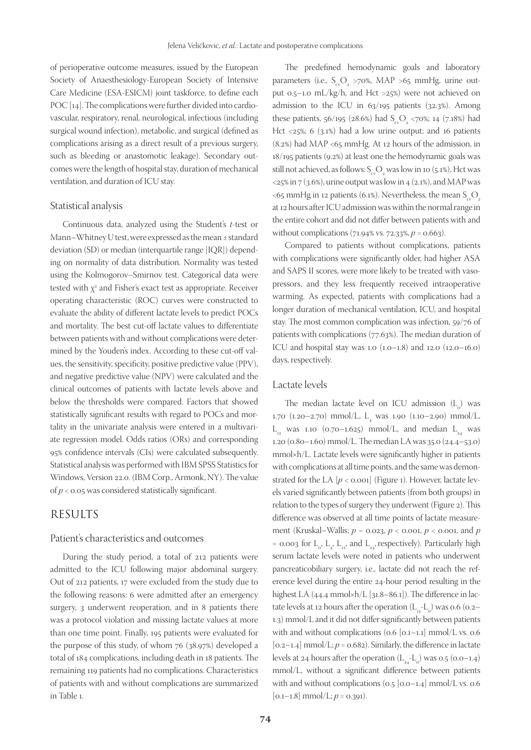of perioperative outcome measures, issued by the European Society of Anaesthesiology-European Society of Intensive Care Medicine (ESA-ESICM) joint taskforce, to define each POC [14]. The complications were further divided into cardiovascular, respiratory, renal, neurological, infectious (including surgical wound infection), metabolic, and surgical (defined as complications arising as a direct result of a previous surgery, such as bleeding or anastomotic leakage). Secondary outcomes were the length of hospital stay, duration of mechanical ventilation, and duration of ICU stay.

#### Statistical analysis

Continuous data, analyzed using the Student's *t*-test or Mann–Whitney U test, were expressed as the mean ± standard deviation (SD) or median (interquartile range [IQR]) depending on normality of data distribution. Normality was tested using the Kolmogorov–Smirnov test. Categorical data were tested with  $\chi^{\text{2}}$  and Fisher's exact test as appropriate. Receiver operating characteristic (ROC) curves were constructed to evaluate the ability of different lactate levels to predict POCs and mortality. The best cut-off lactate values to differentiate between patients with and without complications were determined by the Youden's index. According to these cut-off values, the sensitivity, specificity, positive predictive value (PPV), and negative predictive value (NPV) were calculated and the clinical outcomes of patients with lactate levels above and below the thresholds were compared. Factors that showed statistically significant results with regard to POCs and mortality in the univariate analysis were entered in a multivariate regression model. Odds ratios (ORs) and corresponding 95% confidence intervals (CIs) were calculated subsequently. Statistical analysis was performed with IBM SPSS Statistics for Windows, Version 22.0. (IBM Corp., Armonk, NY). The value of *p* < 0.05 was considered statistically significant.

## RESULTS

#### Patient's characteristics and outcomes

During the study period, a total of 212 patients were admitted to the ICU following major abdominal surgery. Out of 212 patients, 17 were excluded from the study due to the following reasons: 6 were admitted after an emergency surgery, 3 underwent reoperation, and in 8 patients there was a protocol violation and missing lactate values at more than one time point. Finally, 195 patients were evaluated for the purpose of this study, of whom 76 (38.97%) developed a total of 184 complications, including death in 18 patients. The remaining 119 patients had no complications. Characteristics of patients with and without complications are summarized in Table 1.

The predefined hemodynamic goals and laboratory parameters (i.e.,  $S_{\rm ev}O_2$  >70%, MAP >65 mmHg, urine output 0.5–1.0 mL/kg/h, and Hct >25%) were not achieved on admission to the ICU in 63/195 patients (32.3%). Among these patients, 56/195 (28.6%) had  $S_{\rm c}O_{\rm g}$  <70%; 14 (7.18%) had Hct <25%; 6 (3.1%) had a low urine output; and 16 patients (8.2%) had MAP <65 mmHg. At 12 hours of the admission, in 18/195 patients (9.2%) at least one the hemodynamic goals was still not achieved, as follows:  $S_{\text{cv}}O_{2}$  was low in 10 (5.1%), Hct was  $\langle 25\% \text{ in } 7 \ (3.6\%)$ , urine output was low in 4 (2.1%), and MAP was <65 mmHg in 12 patients (6.1%). Nevertheless, the mean  $S_{av}O_{av}$ at 12 hours after ICU admission was within the normal range in the entire cohort and did not differ between patients with and without complications (71.94% vs. 72.33%, *p* = 0.663).

Compared to patients without complications, patients with complications were significantly older, had higher ASA and SAPS II scores, were more likely to be treated with vasopressors, and they less frequently received intraoperative warming. As expected, patients with complications had a longer duration of mechanical ventilation, ICU, and hospital stay. The most common complication was infection, 59/76 of patients with complications (77.63%). The median duration of ICU and hospital stay was 1.0  $(1.0-1.8)$  and 12.0  $(12.0-16.0)$ days, respectively.

#### Lactate levels

The median lactate level on ICU admission  $(L_0)$  was  $1.70$   $(1.20-2.70)$  mmol/L, L<sub>4</sub> was  $1.90$   $(1.10-2.90)$  mmol/L,  $L_{12}$  was 1.10 (0.70–1.625) mmol/L, and median  $L_{24}$  was 1.20 (0.80–1.60) mmol/L. The median LA was 35.0 (24.4–53.0) mmol×h/L. Lactate levels were significantly higher in patients with complications at all time points, and the same was demonstrated for the LA  $[p < 0.001]$  (Figure 1). However, lactate levels varied significantly between patients (from both groups) in relation to the types of surgery they underwent (Figure 2). This difference was observed at all time points of lactate measurement (Kruskal–Wallis; *p* = 0.023, *p* < 0.001, *p* < 0.001, and *p* = 0.003 for  $L_{0}$ ,  $L_{4}$ ,  $L_{12}$ , and  $L_{24}$ , respectively). Particularly high serum lactate levels were noted in patients who underwent pancreaticobiliary surgery, i.e., lactate did not reach the reference level during the entire 24-hour period resulting in the highest LA (44.4 mmol×h/L [31.8–86.1]). The difference in lactate levels at 12 hours after the operation  $(L_{12}^L L_o)$  was 0.6 (0.2– 1.3) mmol/L and it did not differ significantly between patients with and without complications (0.6 [0.1–1.1] mmol/L vs. 0.6  $[0.2-1.4]$  mmol/L;  $p = 0.682$ ). Similarly, the difference in lactate levels at 24 hours after the operation  $(L_{24}^L - L_o)$  was 0.5 (0.0–1.4) mmol/L, without a significant difference between patients with and without complications (0.5 [0.0–1.4] mmol/L vs. 0.6  $[0.1-1.8]$  mmol/L;  $p = 0.391$ ).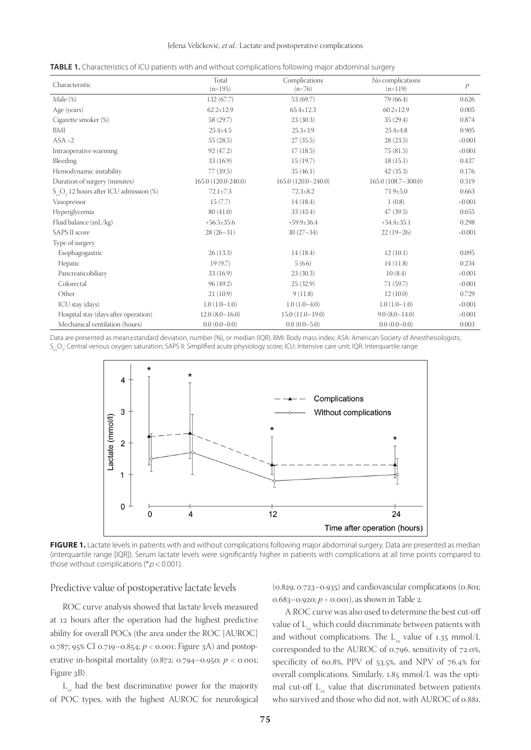#### Jelena Veličković, *et al.*: Lactate and postoperative complications

| <b>TABLE 1.</b> Characteristics of ICU patients with and without complications following maior abdominal surgery |  |  |  |  |
|------------------------------------------------------------------------------------------------------------------|--|--|--|--|
|------------------------------------------------------------------------------------------------------------------|--|--|--|--|

| Characteristic                                   | Total<br>$(n=195)$  | Complications<br>$(n=76)$ | No complications<br>$(n=119)$ | $\mathcal{P}$ |
|--------------------------------------------------|---------------------|---------------------------|-------------------------------|---------------|
| Male $(\%)$                                      | 132(67.7)           | 53 (69.7)                 | 79 (66.4)                     | 0.626         |
| Age (years)                                      | $62.2 \pm 12.9$     | $65.4 \pm 12.3$           | $60.2 \pm 12.9$               | 0.005         |
| Cigarette smoker (%)                             | 58 (29.7)           | 23(30.3)                  | 35(29.4)                      | 0.874         |
| BMI                                              | $25.4 \pm 4.5$      | $25.3 \pm 3.9$            | $25.4 \pm 4.8$                | 0.905         |
| ASA > 2                                          | 55(28.5)            | 27(35.5)                  | 28(23.5)                      | < 0.001       |
| Intraoperative warming                           | 92 (47.2)           | 17(18.5)                  | 75(81.5)                      | < 0.001       |
| Bleeding                                         | 33(16.9)            | 15(19.7)                  | 18(15.1)                      | 0.437         |
| Hemodynamic instability                          | 77 (39.5)           | 35(46.1)                  | 42(35.3)                      | 0.176         |
| Duration of surgery (minutes)                    | 165.0 (120.0-240.0) | 165.0 (120.0-240.0)       | 165.0 (108.7-300.0)           | 0.319         |
| $S_{\infty}O$ , 12 hours after ICU admission (%) | $72.1 \pm 7.3$      | $72.3 \pm 8.2$            | $71.9 \pm 5.0$                | 0.663         |
| Vasopressor                                      | 15(7.7)             | 14(18.4)                  | 1(0.8)                        | < 0.001       |
| Hyperglycemia                                    | 80(41.0)            | 33 (43.4)                 | 47(39.5)                      | 0.655         |
| Fluid balance (mL/kg)                            | $+56.5+35.6$        | $+59.9 \pm 36.4$          | $+54.4+35.1$                  | 0.298         |
| <b>SAPS II score</b>                             | $28(26-31)$         | $30(27-34)$               | $22(19-26)$                   | < 0.001       |
| Type of surgery                                  |                     |                           |                               |               |
| Esophagogastric                                  | 26(13.3)            | 14(18.4)                  | 12(10.1)                      | 0.095         |
| Hepatic                                          | 19(9.7)             | 5(6.6)                    | 14(11.8)                      | 0.234         |
| Pancreaticobiliary                               | 33(16.9)            | 23(30.3)                  | 10(8.4)                       | < 0.001       |
| Colorectal                                       | 96(49.2)            | 25(32.9)                  | 71(59.7)                      | < 0.001       |
| Other                                            | 21(10.9)            | 9(11.8)                   | 12(10.0)                      | 0.729         |
| ICU stay (days)                                  | $1.0(1.0-1.0)$      | $1.0(1.0-4.0)$            | $1.0(1.0-1.0)$                | < 0.001       |
| Hospital stay (days after operation)             | $12.0(8.0-16.0)$    | $15.0(11.0-19.0)$         | $9.0(8.0-14.0)$               | < 0.001       |
| Mechanical ventilation (hours)                   | $0.0(0.0-0.0)$      | $0.0(0.0-5.0)$            | $0.0(0.0-0.0)$                | 0.003         |
|                                                  |                     |                           |                               |               |

Data are presented as mean±standard deviation, number (%), or median (IQR). BMI: Body mass index; ASA: American Society of Anesthesiologists;  $\mathsf{S}_{_{\mathrm{c}}}\mathsf{O}_{2}$ : Central venous oxygen saturation; SAPS II: Simplified acute physiology score; ICU: Intensive care unit; IQR: Interquartile range



FIGURE 1. Lactate levels in patients with and without complications following major abdominal surgery. Data are presented as median (interquartile range [IQR]). Serum lactate levels were significantly higher in patients with complications at all time points compared to those without complications (\* $p$  < 0.001).

#### Predictive value of postoperative lactate levels

(0.829; 0.723–0.935) and cardiovascular complications (0.801; 0.683–0.920;  $p = 0.001$ ), as shown in Table 2.

ROC curve analysis showed that lactate levels measured at 12 hours after the operation had the highest predictive ability for overall POCs (the area under the ROC [AUROC] 0.787; 95% CI 0.719–0.854; *p* < 0.001; Figure 3A) and postoperative in-hospital mortality (0.872; 0.794–0.950; *p* < 0.001; Figure 3B).

 $L_{12}$  had the best discriminative power for the majority of POC types, with the highest AUROC for neurological

A ROC curve was also used to determine the best cut-off value of  $L_{12}$  which could discriminate between patients with and without complications. The  $L_{12}$  value of 1.35 mmol/L corresponded to the AUROC of 0.796, sensitivity of 72.0%, specificity of 60.8%, PPV of 53.5%, and NPV of 76.4% for overall complications. Similarly, 1.85 mmol/L was the optimal cut-off  $L_{12}$  value that discriminated between patients who survived and those who did not, with AUROC of 0.881,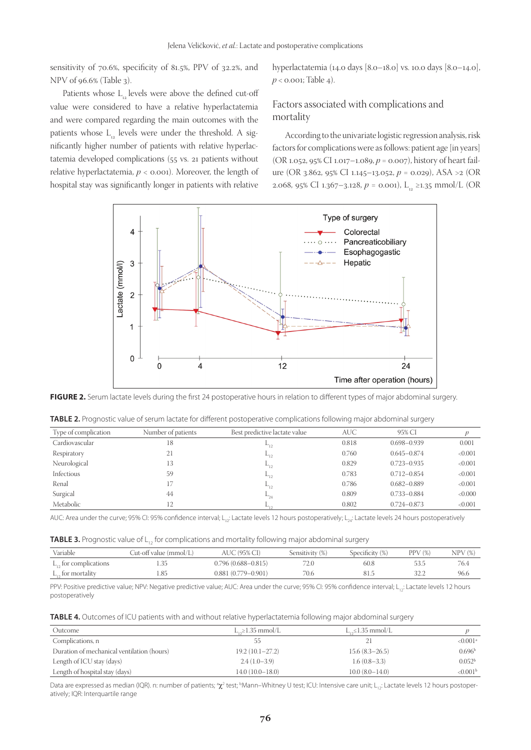sensitivity of 70.6%, specificity of 81.5%, PPV of 32.2%, and NPV of 96.6% (Table 3).

Patients whose L<sub>2</sub> levels were above the defined cut-off value were considered to have a relative hyperlactatemia and were compared regarding the main outcomes with the patients whose  $L_{12}$  levels were under the threshold. A significantly higher number of patients with relative hyperlactatemia developed complications (55 vs. 21 patients without relative hyperlactatemia, *p* < 0.001). Moreover, the length of hospital stay was significantly longer in patients with relative hyperlactatemia (14.0 days [8.0–18.0] vs. 10.0 days [8.0–14.0],  $p <$  0.001; Table 4).

# Factors associated with complications and mortality

According to the univariate logistic regression analysis, risk factors for complications were as follows: patient age [in years] (OR 1.052, 95% CI 1.017–1.089, *p* = 0.007), history of heart failure (OR 3.862, 95% CI 1.145–13.052, *p* = 0.029), ASA >2 (OR 2.068, 95% CI 1.367–3.128,  $p = 0.001$ , L<sub>12</sub> ≥1.35 mmol/L (OR



FIGURE 2. Serum lactate levels during the first 24 postoperative hours in relation to different types of major abdominal surgery.

| <b>TABLE 2.</b> Prognostic value of serum lactate for different postoperative complications following major abdominal surgery |  |  |  |  |
|-------------------------------------------------------------------------------------------------------------------------------|--|--|--|--|
|-------------------------------------------------------------------------------------------------------------------------------|--|--|--|--|

| Type of complication | Number of patients | Best predictive lactate value | AUC-  | 95% CI          |         |
|----------------------|--------------------|-------------------------------|-------|-----------------|---------|
| Cardiovascular       | 18                 |                               | 0.818 | $0.698 - 0.939$ | 0.001   |
| Respiratory          | 21                 | $-12$                         | 0.760 | $0.645 - 0.874$ | < 0.001 |
| Neurological         | 13                 | $-12$                         | 0.829 | $0.723 - 0.935$ | < 0.001 |
| Infectious           | 59                 | $-12$                         | 0.783 | $0.712 - 0.854$ | < 0.001 |
| Renal                |                    |                               | 0.786 | $0.682 - 0.889$ | < 0.001 |
| Surgical             | 44                 | $-24$                         | 0.809 | $0.733 - 0.884$ | < 0.000 |
| Metabolic            | 12                 |                               | 0.802 | $0.724 - 0.873$ | < 0.001 |

AUC: Area under the curve; 95% CI: 95% confidence interval; L<sub>12</sub>: Lactate levels 12 hours postoperatively; L<sub>12</sub>: Lactate levels 24 hours postoperatively

| <b>TABLE 3.</b> Prognostic value of $L_{12}$ for complications and mortality following major abdominal surgery |  |
|----------------------------------------------------------------------------------------------------------------|--|
|----------------------------------------------------------------------------------------------------------------|--|

| Variable                   | Cut-off value (mmol/L) | AUC (95% CI)           | Sensitivity (%) | Specificity (%) | $PPV$ $(\%)$ | $NPV$ $(\%)$ |
|----------------------------|------------------------|------------------------|-----------------|-----------------|--------------|--------------|
| $L_{12}$ for complications | 1.35                   | $0.796(0.688 - 0.815)$ | 72.0            | 60.8            |              | 76.4         |
| $L_{12}$ for mortality     |                        | $0.881(0.779 - 0.901)$ | 70.6            | 81.5            |              | 96.6         |

PPV: Positive predictive value; NPV: Negative predictive value; AUC: Area under the curve; 95% CI: 95% confidence interval; L<sub>12</sub>: Lactate levels 12 hours postoperatively

|  | <b>TABLE 4.</b> Outcomes of ICU patients with and without relative hyperlactatemia following major abdominal surgery |  |
|--|----------------------------------------------------------------------------------------------------------------------|--|
|  |                                                                                                                      |  |

| Outcome                                    | $L_{\infty} \geq 1.35$ mmol/L | $L_{\infty} \leq 1.35$ mmol/L |                        |
|--------------------------------------------|-------------------------------|-------------------------------|------------------------|
| Complications, n                           | 55                            |                               | $< 0.001$ <sup>a</sup> |
| Duration of mechanical ventilation (hours) | $19.2(10.1-27.2)$             | $15.6(8.3-26.5)$              | 0.696 <sup>b</sup>     |
| Length of ICU stay (days)                  | $2.4(1.0-3.9)$                | $1.6(0.8-3.3)$                | 0.052 <sup>b</sup>     |
| Length of hospital stay (days)             | $14.0(10.0-18.0)$             | $10.0(8.0-14.0)$              | < 0.001 <sup>b</sup>   |

Data are expressed as median (IQR). n: number of patients; <sup>a</sup> $\chi^2$  test; <sup>b</sup>Mann–Whitney U test; ICU: Intensive care unit; L<sub>12</sub>: Lactate levels 12 hours postoperatively; IQR: Interquartile range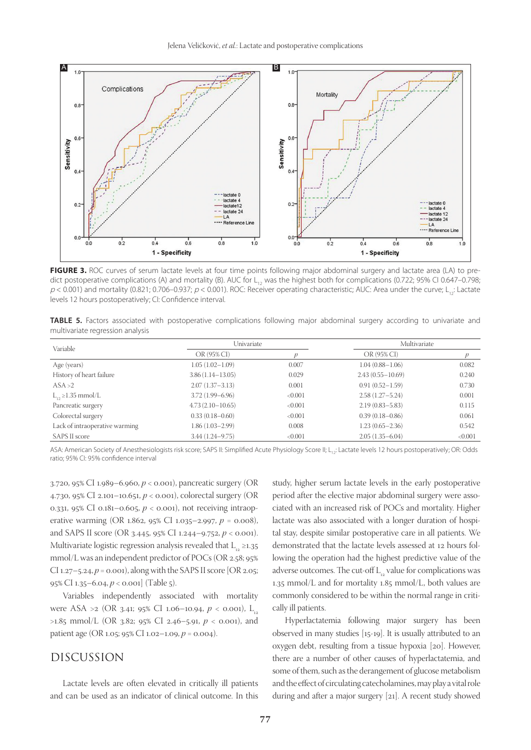

FIGURE 3. ROC curves of serum lactate levels at four time points following major abdominal surgery and lactate area (LA) to predict postoperative complications (A) and mortality (B). AUC for  $L_{12}$  was the highest both for complications (0.722; 95% CI 0.647–0.798;  $p$  < 0.001) and mortality (0.821; 0.706–0.937;  $p$  < 0.001). ROC: Receiver operating characteristic; AUC: Area under the curve; L<sub>12</sub>: Lactate levels 12 hours postoperatively; CI: Confidence interval.

**TABLE 5.** Factors associated with postoperative complications following major abdominal surgery according to univariate and multivariate regression analysis

| Variable                       |                      | Univariate |                      | Multivariate |  |
|--------------------------------|----------------------|------------|----------------------|--------------|--|
|                                | OR (95% CI)          |            | OR (95% CI)          |              |  |
| Age (years)                    | $1.05(1.02 - 1.09)$  | 0.007      | $1.04(0.88 - 1.06)$  | 0.082        |  |
| History of heart failure       | $3.86(1.14 - 13.05)$ | 0.029      | $2.43(0.55 - 10.69)$ | 0.240        |  |
| ASA >2                         | $2.07(1.37 - 3.13)$  | 0.001      | $0.91(0.52 - 1.59)$  | 0.730        |  |
| $L_{12} \geq 1.35$ mmol/L      | $3.72(1.99 - 6.96)$  | < 0.001    | $2.58(1.27 - 5.24)$  | 0.001        |  |
| Pancreatic surgery             | $4.73(2.10 - 10.65)$ | < 0.001    | $2.19(0.83 - 5.83)$  | 0.115        |  |
| Colorectal surgery             | $0.33(0.18 - 0.60)$  | < 0.001    | $0.39(0.18 - 0.86)$  | 0.061        |  |
| Lack of intraoperative warming | 1.86 (1.03–2.99)     | 0.008      | $1.23(0.65 - 2.36)$  | 0.542        |  |
| SAPS II score                  | $3.44(1.24 - 9.75)$  | < 0.001    | $2.05(1.35 - 6.04)$  | < 0.001      |  |

ASA: American Society of Anesthesiologists risk score; SAPS II: Simplified Acute Physiology Score II; L<sub>1</sub>; Lactate levels 12 hours postoperatively; OR: Odds ratio; 95% CI: 95% confidence interval

3.720, 95% CI 1.989–6.960, *p* < 0.001), pancreatic surgery (OR 4.730, 95% CI 2.101–10.651, *p* < 0.001), colorectal surgery (OR 0.331, 95% CI 0.181–0.605, *p* < 0.001), not receiving intraoperative warming (OR 1.862, 95% CI 1.035–2.997, *p* = 0.008), and SAPS II score (OR 3.445, 95% CI 1.244–9.752, *p* < 0.001). Multivariate logistic regression analysis revealed that  $L_{12} \ge 1.35$ mmol/L was an independent predictor of POCs (OR 2.58; 95% CI 1.27–5.24, *p* = 0.001), along with the SAPS II score [OR 2.05; 95% CI 1.35–6.04, *p* < 0.001] (Тable 5).

Variables independently associated with mortality were ASA >2 (OR 3.41; 95% CI 1.06–10.94,  $p < 0.001$ ), L<sub>12</sub> >1.85 mmol/L (OR 3.82; 95% CI 2.46–5.91, *p* < 0.001), and patient age (OR 1.05; 95% CI 1.02–1.09, *p* = 0.004).

## DISCUSSION

Lactate levels are often elevated in critically ill patients and can be used as an indicator of clinical outcome. In this study, higher serum lactate levels in the early postoperative period after the elective major abdominal surgery were associated with an increased risk of POCs and mortality. Higher lactate was also associated with a longer duration of hospital stay, despite similar postoperative care in all patients. We demonstrated that the lactate levels assessed at 12 hours following the operation had the highest predictive value of the adverse outcomes. The cut-off  $L_{12}$  value for complications was 1.35 mmol/L and for mortality 1.85 mmol/L, both values are commonly considered to be within the normal range in critically ill patients.

Hyperlactatemia following major surgery has been observed in many studies [15-19]. It is usually attributed to an oxygen debt, resulting from a tissue hypoxia [20]. However, there are a number of other causes of hyperlactatemia, and some of them, such as the derangement of glucose metabolism and the effect of circulating catecholamines, may play a vital role during and after a major surgery [21]. A recent study showed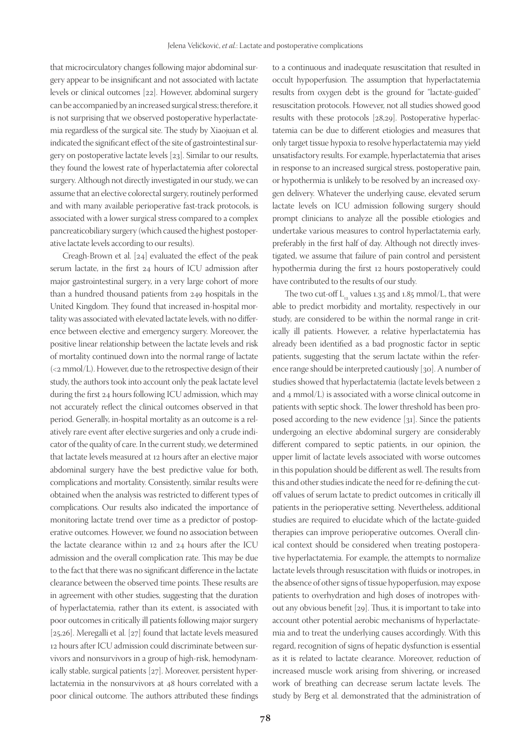that microcirculatory changes following major abdominal surgery appear to be insignificant and not associated with lactate levels or clinical outcomes [22]. However, abdominal surgery can be accompanied by an increased surgical stress; therefore, it is not surprising that we observed postoperative hyperlactatemia regardless of the surgical site. The study by Xiaojuan et al. indicated the significant effect of the site of gastrointestinal surgery on postoperative lactate levels [23]. Similar to our results, they found the lowest rate of hyperlactatemia after colorectal surgery. Although not directly investigated in our study, we can assume that an elective colorectal surgery, routinely performed and with many available perioperative fast-track protocols, is associated with a lower surgical stress compared to a complex pancreaticobiliary surgery (which caused the highest postoperative lactate levels according to our results).

Creagh-Brown et al. [24] evaluated the effect of the peak serum lactate, in the first 24 hours of ICU admission after major gastrointestinal surgery, in a very large cohort of more than a hundred thousand patients from 249 hospitals in the United Kingdom. They found that increased in-hospital mortality was associated with elevated lactate levels, with no difference between elective and emergency surgery. Moreover, the positive linear relationship between the lactate levels and risk of mortality continued down into the normal range of lactate (<2 mmol/L). However, due to the retrospective design of their study, the authors took into account only the peak lactate level during the first 24 hours following ICU admission, which may not accurately reflect the clinical outcomes observed in that period. Generally, in-hospital mortality as an outcome is a relatively rare event after elective surgeries and only a crude indicator of the quality of care. In the current study, we determined that lactate levels measured at 12 hours after an elective major abdominal surgery have the best predictive value for both, complications and mortality. Consistently, similar results were obtained when the analysis was restricted to different types of complications. Our results also indicated the importance of monitoring lactate trend over time as a predictor of postoperative outcomes. However, we found no association between the lactate clearance within 12 and 24 hours after the ICU admission and the overall complication rate. This may be due to the fact that there was no significant difference in the lactate clearance between the observed time points. These results are in agreement with other studies, suggesting that the duration of hyperlactatemia, rather than its extent, is associated with poor outcomes in critically ill patients following major surgery [25,26]. Meregalli et al. [27] found that lactate levels measured 12 hours after ICU admission could discriminate between survivors and nonsurvivors in a group of high-risk, hemodynamically stable, surgical patients [27]. Moreover, persistent hyperlactatemia in the nonsurvivors at 48 hours correlated with a poor clinical outcome. The authors attributed these findings

to a continuous and inadequate resuscitation that resulted in occult hypoperfusion. The assumption that hyperlactatemia results from oxygen debt is the ground for "lactate-guided" resuscitation protocols. However, not all studies showed good results with these protocols [28,29]. Postoperative hyperlactatemia can be due to different etiologies and measures that only target tissue hypoxia to resolve hyperlactatemia may yield unsatisfactory results. For example, hyperlactatemia that arises in response to an increased surgical stress, postoperative pain, or hypothermia is unlikely to be resolved by an increased oxygen delivery. Whatever the underlying cause, elevated serum lactate levels on ICU admission following surgery should prompt clinicians to analyze all the possible etiologies and undertake various measures to control hyperlactatemia early, preferably in the first half of day. Although not directly investigated, we assume that failure of pain control and persistent hypothermia during the first 12 hours postoperatively could have contributed to the results of our study.

The two cut-off  $L_{12}$  values 1.35 and 1.85 mmol/L, that were able to predict morbidity and mortality, respectively in our study, are considered to be within the normal range in critically ill patients. However, a relative hyperlactatemia has already been identified as a bad prognostic factor in septic patients, suggesting that the serum lactate within the reference range should be interpreted cautiously [30]. A number of studies showed that hyperlactatemia (lactate levels between 2 and 4 mmol/L) is associated with a worse clinical outcome in patients with septic shock. The lower threshold has been proposed according to the new evidence [31]. Since the patients undergoing an elective abdominal surgery are considerably different compared to septic patients, in our opinion, the upper limit of lactate levels associated with worse outcomes in this population should be different as well. The results from this and other studies indicate the need for re-defining the cutoff values of serum lactate to predict outcomes in critically ill patients in the perioperative setting. Nevertheless, additional studies are required to elucidate which of the lactate-guided therapies can improve perioperative outcomes. Overall clinical context should be considered when treating postoperative hyperlactatemia. For example, the attempts to normalize lactate levels through resuscitation with fluids or inotropes, in the absence of other signs of tissue hypoperfusion, may expose patients to overhydration and high doses of inotropes without any obvious benefit [29]. Thus, it is important to take into account other potential aerobic mechanisms of hyperlactatemia and to treat the underlying causes accordingly. With this regard, recognition of signs of hepatic dysfunction is essential as it is related to lactate clearance. Moreover, reduction of increased muscle work arising from shivering, or increased work of breathing can decrease serum lactate levels. The study by Berg et al. demonstrated that the administration of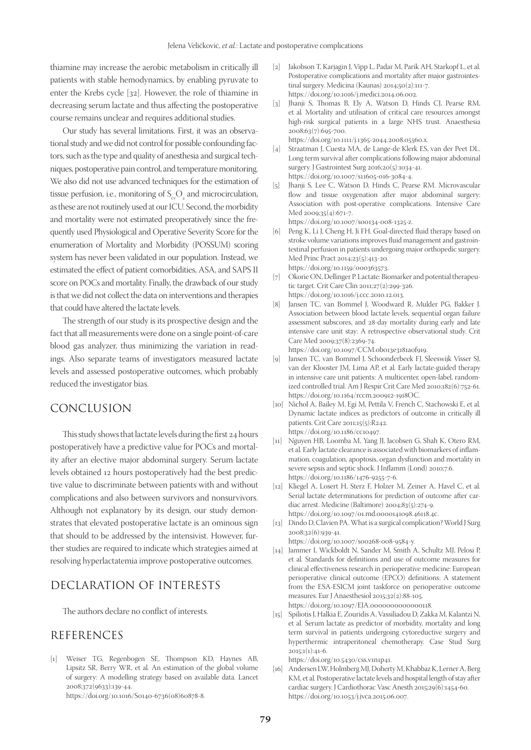thiamine may increase the aerobic metabolism in critically ill patients with stable hemodynamics, by enabling pyruvate to enter the Krebs cycle [32]. However, the role of thiamine in decreasing serum lactate and thus affecting the postoperative course remains unclear and requires additional studies.

Our study has several limitations. First, it was an observational study and we did not control for possible confounding factors, such as the type and quality of anesthesia and surgical techniques, postoperative pain control, and temperature monitoring. We also did not use advanced techniques for the estimation of tissue perfusion, i.e., monitoring of  $S_{\rm ev}O_2$  and microcirculation, as these are not routinely used at our ICU. Second, the morbidity and mortality were not estimated preoperatively since the frequently used Physiological and Operative Severity Score for the enumeration of Mortality and Morbidity (POSSUM) scoring system has never been validated in our population. Instead, we estimated the effect of patient comorbidities, ASA, and SAPS II score on POCs and mortality. Finally, the drawback of our study is that we did not collect the data on interventions and therapies that could have altered the lactate levels.

The strength of our study is its prospective design and the fact that all measurements were done on a single point-of-care blood gas analyzer, thus minimizing the variation in readings. Also separate teams of investigators measured lactate levels and assessed postoperative outcomes, which probably reduced the investigator bias.

# CONCLUSION

This study shows that lactate levels during the first 24 hours postoperatively have a predictive value for POCs and mortality after an elective major abdominal surgery. Serum lactate levels obtained 12 hours postoperatively had the best predictive value to discriminate between patients with and without complications and also between survivors and nonsurvivors. Although not explanatory by its design, our study demonstrates that elevated postoperative lactate is an ominous sign that should to be addressed by the intensivist. However, further studies are required to indicate which strategies aimed at resolving hyperlactatemia improve postoperative outcomes.

# DECLARATION OF INTERESTS

The authors declare no conflict of interests.

# REFERENCES

[1] Weiser TG, Regenbogen SE, Thompson KD, Haynes AB, Lipsitz SR, Berry WR, et al*.* An estimation of the global volume of surgery: A modelling strategy based on available data. Lancet 2008;372(9633):139-44.

https://doi.org/10.1016/S0140-6736(08)60878-8.

- [2] Jakobson T, Karjagin J, Vipp L, Padar M, Parik AH, Starkopf L, et al*.* Postoperative complications and mortality after major gastrointestinal surgery. Medicina (Kaunas) 2014;50(2):111-7. https://doi.org/10.1016/j.medici.2014.06.002.
- [3] Jhanji S, Thomas B, Ely A, Watson D, Hinds CJ, Pearse RM, et al*.* Mortality and utilisation of critical care resources amongst high-risk surgical patients in a large NHS trust. Anaesthesia  $2008;63(7):695-700.$

https://doi.org/10.1111/j.1365-2044.2008.05560.x.

- [4] Straatman J, Cuesta MA, de Lange-de Klerk ES, van der Peet DL. Long term survival after complications following major abdominal surgery. J Gastrointest Surg 2016;20(5):1034-41. https://doi.org/10.1007/s11605-016-3084-4.
- [5] Jhanji S, Lee C, Watson D, Hinds C, Pearse RM. Microvascular flow and tissue oxygenation after major abdominal surgery: Association with post-operative complications. Intensive Care Med 2009;35(4):671-7.

https://doi.org/10.1007/s00134-008-1325-z.

- [6] Peng K, Li J, Cheng H, Ji FH. Goal-directed fluid therapy based on stroke volume variations improves fluid management and gastrointestinal perfusion in patients undergoing major orthopedic surgery. Med Princ Pract 2014;23(5):413-20. https://doi.org/10.1159/000363573.
- [7] Okorie ON, Dellinger P. Lactate: Biomarker and potential therapeutic target. Crit Care Clin 2011;27(2):299-326. https://doi.org/10.1016/j.ccc.2010.12.013.
- [8] Jansen TC, van Bommel J, Woodward R, Mulder PG, Bakker J. Association between blood lactate levels, sequential organ failure assessment subscores, and 28-day mortality during early and late intensive care unit stay: A retrospective observational study. Crit Care Med 2009;37(8):2369-74.
	- https://doi.org/10.1097/CCM.0b013e3181a0f919.
- [9] Jansen TC, van Bommel J, Schoonderbeek FJ, Sleeswijk Visser SJ, van der Klooster JM, Lima AP, et al*.* Early lactate-guided therapy in intensive care unit patients: A multicenter, open-label, randomized controlled trial. Am J Respir Crit Care Med 2010;182(6):752-61. https://doi.org/10.1164/rccm.200912-1918OC.
- [10] Nichol A, Bailey M, Egi M, Pettila V, French C, Stachowski E, et al*.* Dynamic lactate indices as predictors of outcome in critically ill patients. Crit Care 2011;15(5):R242. https://doi.org/10.1186/cc10497.
- [11] Nguyen HB, Loomba M, Yang JJ, Jacobsen G, Shah K, Otero RM, et al*.* Early lactate clearance is associated with biomarkers of inflammation, coagulation, apoptosis, organ dysfunction and mortality in severe sepsis and septic shock. J Inflamm (Lond) 2010;7:6. https://doi.org/10.1186/1476-9255-7-6.
- [12] Kliegel A, Losert H, Sterz F, Holzer M, Zeiner A, Havel C, et al*.* Serial lactate determinations for prediction of outcome after cardiac arrest. Medicine (Baltimore) 2004;83(5):274-9. https://doi.org/10.1097/01.md.0000141098.46118.4c.
- [13] Dindo D, Clavien PA. What is a surgical complication? World J Surg 2008;32(6):939-41.

https://doi.org/10.1007/s00268-008-9584-y.

- [14] Jammer I, Wickboldt N, Sander M, Smith A, Schultz MJ, Pelosi P, et al*.* Standards for definitions and use of outcome measures for clinical effectiveness research in perioperative medicine: European perioperative clinical outcome (EPCO) definitions: A statement from the ESA-ESICM joint taskforce on perioperative outcome measures. Eur J Anaesthesiol 2015;32(2):88-105. https://doi.org/10.1097/EJA.0000000000000118.
- [15] Spiliotis J, Halkia E, Zouridis A, Vassiliadou D, Zakka M, Kalantzi N, et al. Serum lactate as predictor of morbidity, mortality and long term survival in patients undergoing cytoreductive surgery and hyperthermic intraperitoneal chemotherapy. Case Stud Surg  $2015:1(1)$ : $41-6$ .

https://doi.org/10.5430/css.v1n1p41.

[16] Andersen LW, Holmberg MJ, Doherty M, Khabbaz K, Lerner A, Berg KM, et al*.* Postoperative lactate levels and hospital length of stay after cardiac surgery. J Cardiothorac Vasc Anesth 2015;29(6):1454-60. https://doi.org/10.1053/j.jvca.2015.06.007.